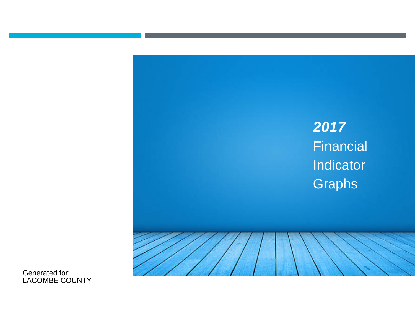# **2017** Financial Indicator **Graphs**

Generated for: LACOMBE COUNTY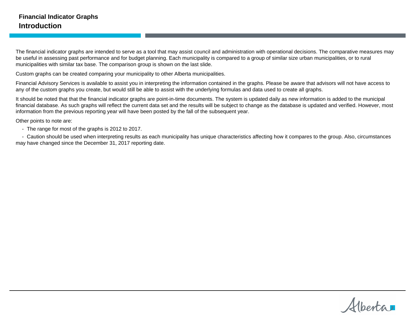The financial indicator graphs are intended to serve as a tool that may assist council and administration with operational decisions. The comparative measures may be useful in assessing past performance and for budget planning. Each municipality is compared to a group of similar size urban municipalities, or to rural municipalities with similar tax base. The comparison group is shown on the last slide.

Custom graphs can be created comparing your municipality to other Alberta municipalities.

Financial Advisory Services is available to assist you in interpreting the information contained in the graphs. Please be aware that advisors will not have access to any of the custom graphs you create, but would still be able to assist with the underlying formulas and data used to create all graphs.

It should be noted that that the financial indicator graphs are point-in-time documents. The system is updated daily as new information is added to the municipal financial database. As such graphs will reflect the current data set and the results will be subject to change as the database is updated and verified. However, most information from the previous reporting year will have been posted by the fall of the subsequent year.

Other points to note are:

- The range for most of the graphs is 2012 to 2017.

- Caution should be used when interpreting results as each municipality has unique characteristics affecting how it compares to the group. Also, circumstances may have changed since the December 31, 2017 reporting date.

Alberta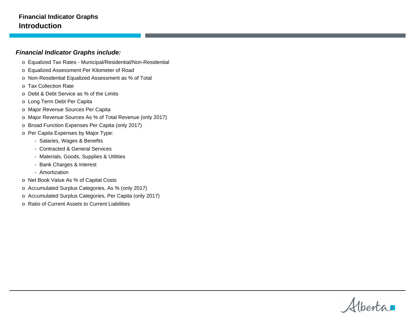#### **Financial Indicator Graphs Introduction**

#### **Financial Indicator Graphs include:**

- o Equalized Tax Rates Municipal/Residential/Non-Residential
- o Equalized Assessment Per Kilometer of Road
- o Non-Residential Equalized Assessment as % of Total
- o Tax Collection Rate
- o Debt & Debt Service as % of the Limits
- o Long Term Debt Per Capita
- o Major Revenue Sources Per Capita
- o Major Revenue Sources As % of Total Revenue (only 2017)
- o Broad Function Expenses Per Capita (only 2017)
- o Per Capita Expenses by Major Type:
	- Salaries, Wages & Benefits
	- Contracted & General Services
	- Materials, Goods, Supplies & Utilities
	- Bank Charges & Interest
	- Amortization
- o Net Book Value As % of Capital Costs
- o Accumulated Surplus Categories, As % (only 2017)
- o Accumulated Surplus Categories, Per Capita (only 2017)
- o Ratio of Current Assets to Current Liabilities

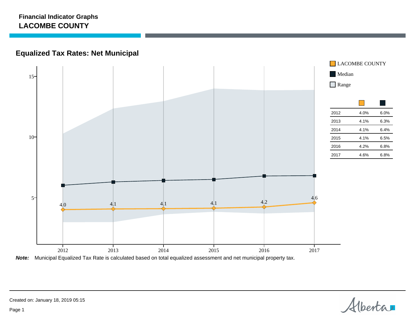## **Equalized Tax Rates: Net Municipal**



**Note:** Municipal Equalized Tax Rate is calculated based on total equalized assessment and net municipal property tax.

Alberta

Created on: January 18, 2019 05:15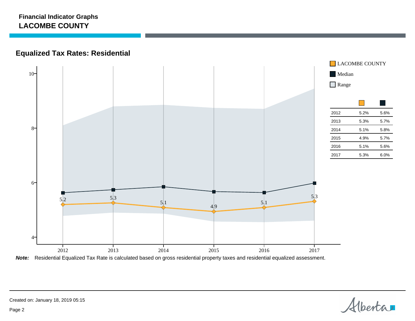## **Equalized Tax Rates: Residential**



**Note:** Residential Equalized Tax Rate is calculated based on gross residential property taxes and residential equalized assessment.

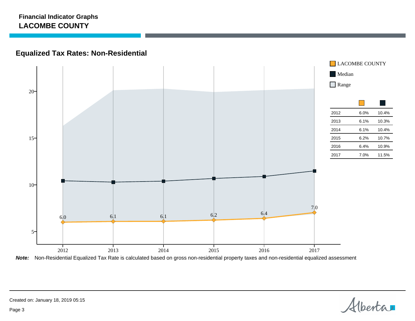## **Equalized Tax Rates: Non-Residential**



**Note:** Non-Residential Equalized Tax Rate is calculated based on gross non-residential property taxes and non-residential equalized assessment

Alberta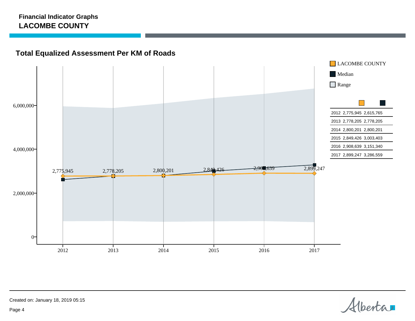## **Total Equalized Assessment Per KM of Roads**



Alberta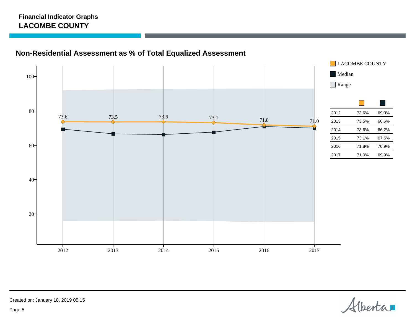



Alberta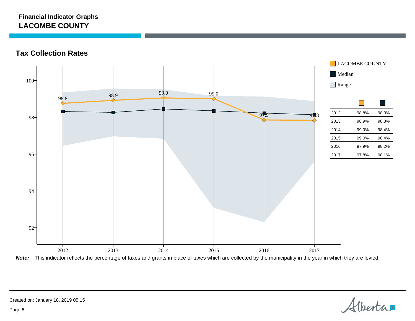**Tax Collection Rates**



**Note:** This indicator reflects the percentage of taxes and grants in place of taxes which are collected by the municipality in the year in which they are levied.

Alberta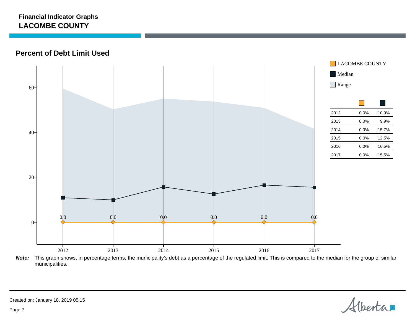**Percent of Debt Limit Used**



**Note:** This graph shows, in percentage terms, the municipality's debt as a percentage of the regulated limit. This is compared to the median for the group of similar municipalities.

Alberta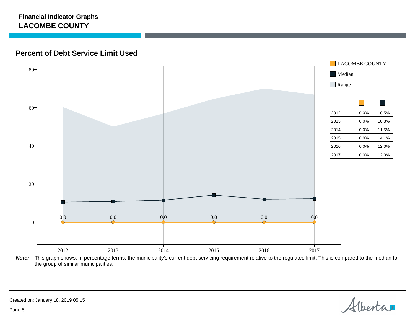## **Percent of Debt Service Limit Used**



**Note:** This graph shows, in percentage terms, the municipality's current debt servicing requirement relative to the regulated limit. This is compared to the median for the group of similar municipalities.

Alberta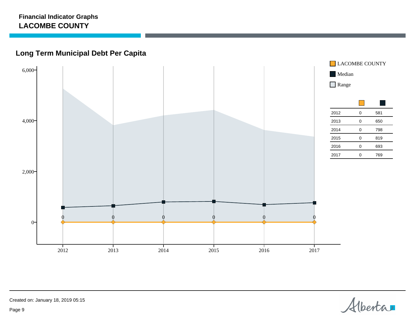## **Long Term Municipal Debt Per Capita**



Alberta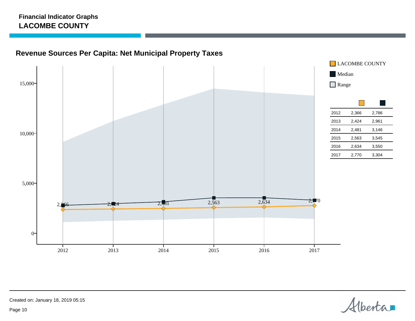## **Revenue Sources Per Capita: Net Municipal Property Taxes**



Alberta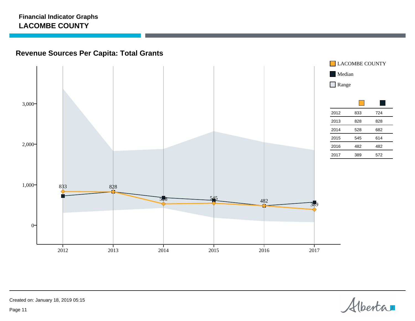## **Revenue Sources Per Capita: Total Grants**



Alberta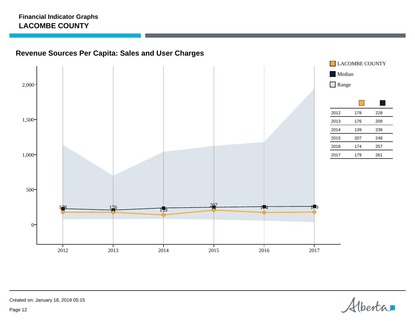## **Revenue Sources Per Capita: Sales and User Charges**



Alberta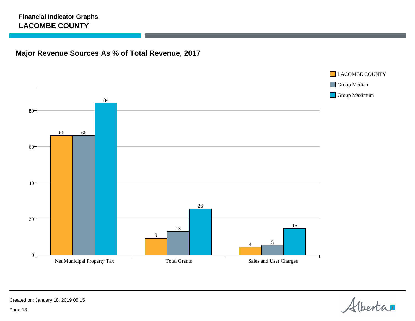## **Major Revenue Sources As % of Total Revenue, 2017**



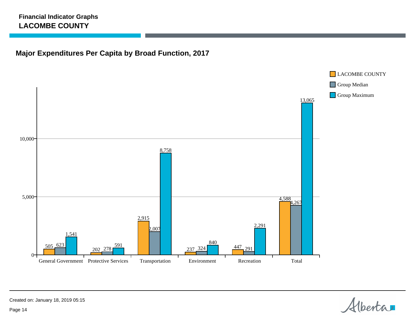## **Major Expenditures Per Capita by Broad Function, 2017**



Alberta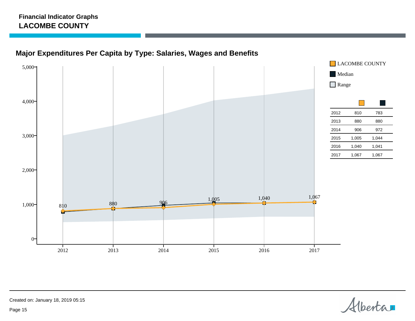## **Major Expenditures Per Capita by Type: Salaries, Wages and Benefits**



Alberta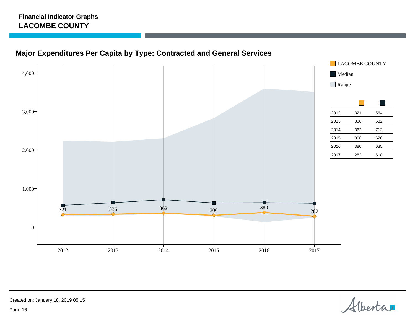## **Major Expenditures Per Capita by Type: Contracted and General Services**



Alberta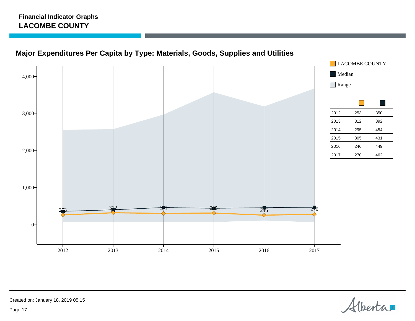



Alberta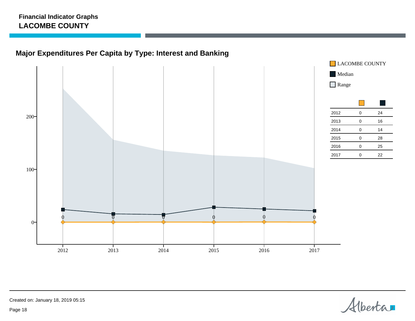## **Major Expenditures Per Capita by Type: Interest and Banking**



Alberta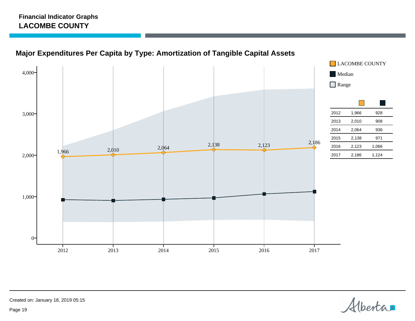



Alberta

Created on: January 18, 2019 05:15

Page 19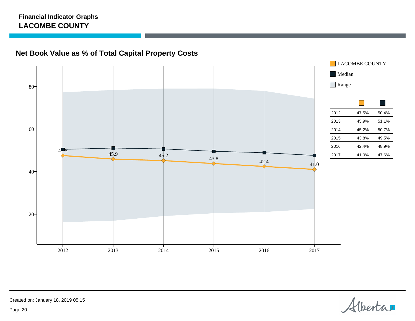## **Net Book Value as % of Total Capital Property Costs**



Alberta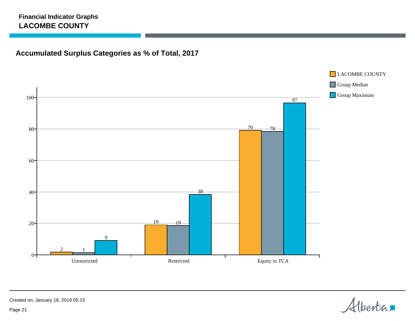## **Accumulated Surplus Categories as % of Total, 2017**

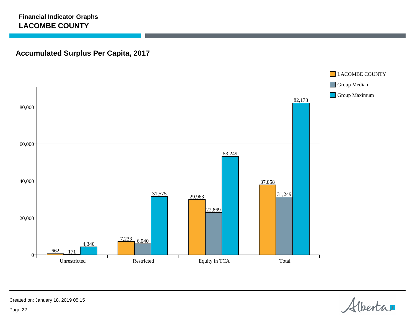## **Accumulated Surplus Per Capita, 2017**



Alberta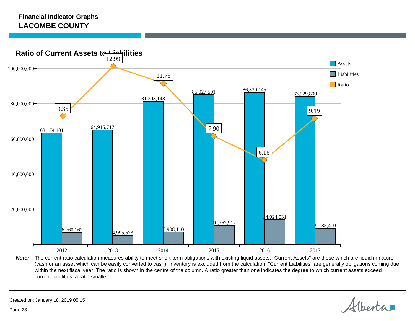

Note: The current ratio calculation measures ability to meet short-term obligations with existing liquid assets. "Current Assets" are those which are liquid in nature (cash or an asset which can be easily converted to cash). Inventory is excluded from the calculation. "Current Liabilities" are generally obligations coming due within the next fiscal year. The ratio is shown in the centre of the column. A ratio greater than one indicates the degree to which current assets exceed current liabilities; a ratio smaller

Alberta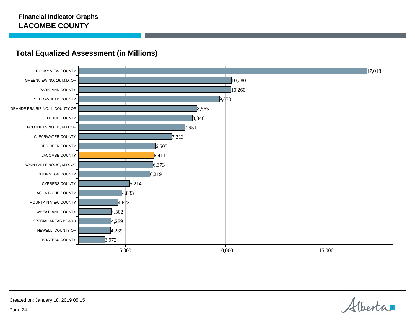

## **Total Equalized Assessment (in Millions)**

Alberta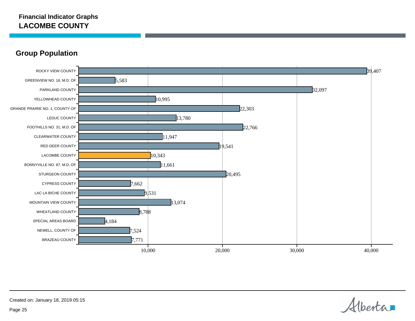**Group Population**



Alberta